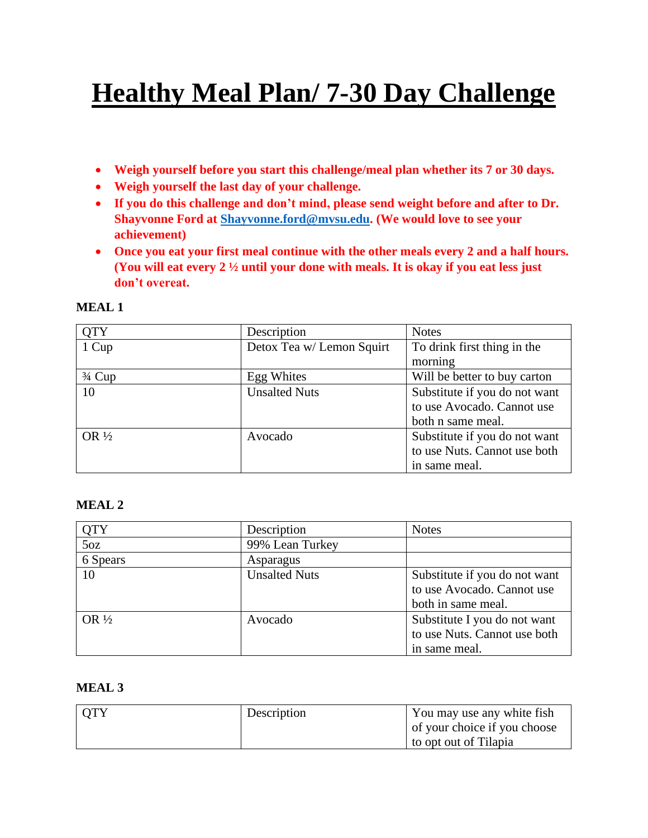# **Healthy Meal Plan/ 7-30 Day Challenge**

- **Weigh yourself before you start this challenge/meal plan whether its 7 or 30 days.**
- **Weigh yourself the last day of your challenge.**
- **If you do this challenge and don't mind, please send weight before and after to Dr. Shayvonne Ford at [Shayvonne.ford@mvsu.edu.](mailto:Shayvonne.ford@mvsu.edu) (We would love to see your achievement)**
- **Once you eat your first meal continue with the other meals every 2 and a half hours. (You will eat every 2 ½ until your done with meals. It is okay if you eat less just don't overeat.**

| <b>QTY</b>        | Description               | <b>Notes</b>                  |
|-------------------|---------------------------|-------------------------------|
| 1 Cup             | Detox Tea w/ Lemon Squirt | To drink first thing in the   |
|                   |                           | morning                       |
| $\frac{3}{4}$ Cup | Egg Whites                | Will be better to buy carton  |
| 10                | <b>Unsalted Nuts</b>      | Substitute if you do not want |
|                   |                           | to use Avocado. Cannot use    |
|                   |                           | both n same meal.             |
| OR $\frac{1}{2}$  | Avocado                   | Substitute if you do not want |
|                   |                           | to use Nuts. Cannot use both  |
|                   |                           | in same meal.                 |

#### **MEAL 1**

#### **MEAL 2**

| <b>QTY</b>       | Description          | <b>Notes</b>                  |
|------------------|----------------------|-------------------------------|
| 50z              | 99% Lean Turkey      |                               |
| 6 Spears         | Asparagus            |                               |
| 10               | <b>Unsalted Nuts</b> | Substitute if you do not want |
|                  |                      | to use Avocado. Cannot use    |
|                  |                      | both in same meal.            |
| OR $\frac{1}{2}$ | Avocado              | Substitute I you do not want  |
|                  |                      | to use Nuts. Cannot use both  |
|                  |                      | in same meal.                 |

#### **MEAL 3**

| <b>OTY</b> | Description | You may use any white fish   |
|------------|-------------|------------------------------|
|            |             | of your choice if you choose |
|            |             | to opt out of Tilapia        |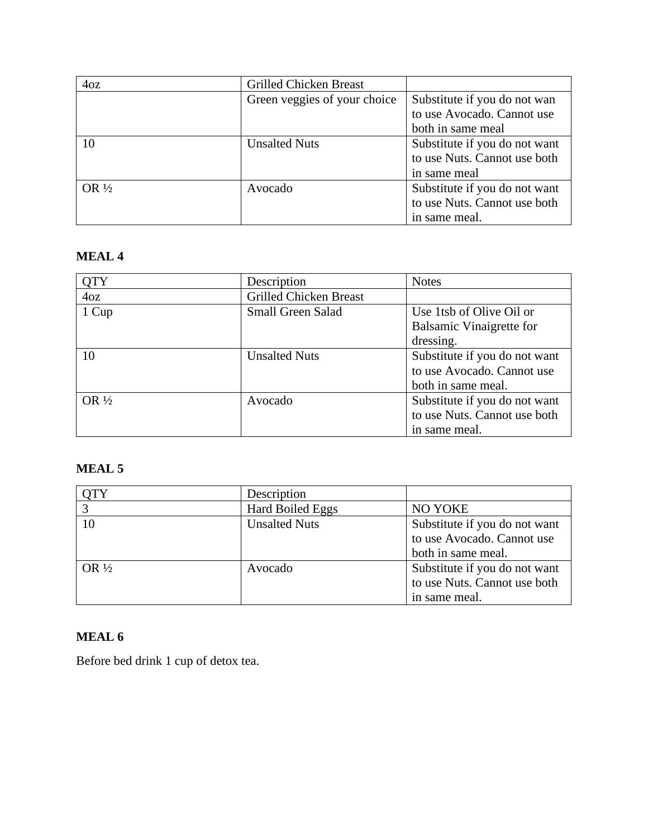| 40Z              | <b>Grilled Chicken Breast</b> |                               |
|------------------|-------------------------------|-------------------------------|
|                  | Green veggies of your choice  | Substitute if you do not wan  |
|                  |                               | to use Avocado. Cannot use    |
|                  |                               | both in same meal             |
| 10               | <b>Unsalted Nuts</b>          | Substitute if you do not want |
|                  |                               | to use Nuts. Cannot use both  |
|                  |                               | in same meal                  |
| OR $\frac{1}{2}$ | Avocado                       | Substitute if you do not want |
|                  |                               | to use Nuts. Cannot use both  |
|                  |                               | in same meal.                 |

#### **MEAL 4**

| <b>QTY</b>       | Description                   | <b>Notes</b>                    |
|------------------|-------------------------------|---------------------------------|
| 40z              | <b>Grilled Chicken Breast</b> |                                 |
| 1 Cup            | <b>Small Green Salad</b>      | Use 1tsb of Olive Oil or        |
|                  |                               | <b>Balsamic Vinaigrette for</b> |
|                  |                               | dressing.                       |
| 10               | <b>Unsalted Nuts</b>          | Substitute if you do not want   |
|                  |                               | to use Avocado. Cannot use      |
|                  |                               | both in same meal.              |
| OR $\frac{1}{2}$ | Avocado                       | Substitute if you do not want   |
|                  |                               | to use Nuts. Cannot use both    |
|                  |                               | in same meal.                   |

## **MEAL 5**

| <b>OTY</b>       | Description          |                               |
|------------------|----------------------|-------------------------------|
|                  | Hard Boiled Eggs     | <b>NO YOKE</b>                |
| 10               | <b>Unsalted Nuts</b> | Substitute if you do not want |
|                  |                      | to use Avocado. Cannot use    |
|                  |                      | both in same meal.            |
| OR $\frac{1}{2}$ | Avocado              | Substitute if you do not want |
|                  |                      | to use Nuts. Cannot use both  |
|                  |                      | in same meal.                 |

## **MEAL 6**

Before bed drink 1 cup of detox tea.